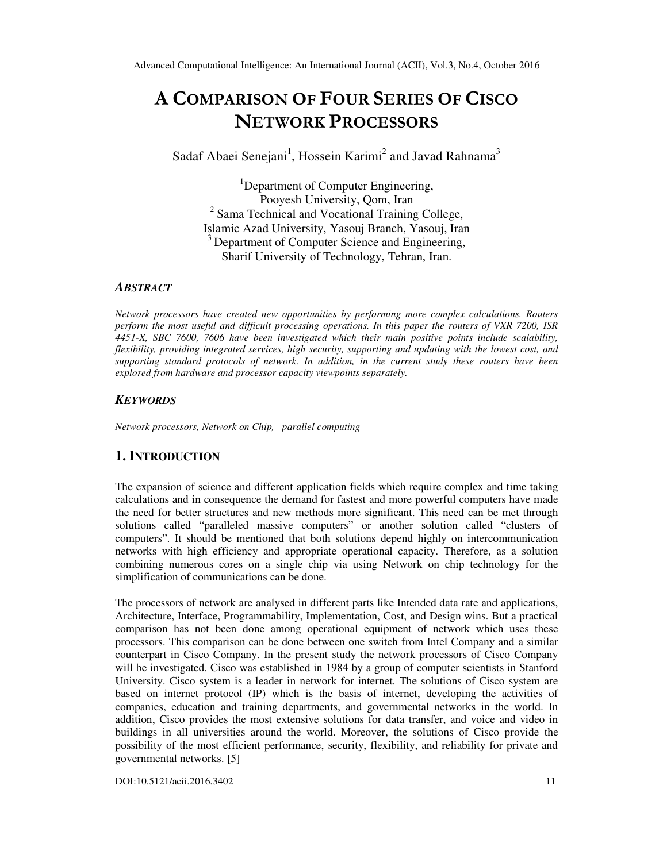# **A COMPARISON OF FOUR SERIES OF CISCO NETWORK PROCESSORS**

Sadaf Abaei Senejani<sup>1</sup>, Hossein Karimi<sup>2</sup> and Javad Rahnama<sup>3</sup>

<sup>1</sup>Department of Computer Engineering, Pooyesh University, Qom, Iran <sup>2</sup> Sama Technical and Vocational Training College, Islamic Azad University, Yasouj Branch, Yasouj, Iran <sup>3</sup> Department of Computer Science and Engineering, Sharif University of Technology, Tehran, Iran.

### *ABSTRACT*

*Network processors have created new opportunities by performing more complex calculations. Routers perform the most useful and difficult processing operations. In this paper the routers of VXR 7200, ISR 4451-X, SBC 7600, 7606 have been investigated which their main positive points include scalability, flexibility, providing integrated services, high security, supporting and updating with the lowest cost, and supporting standard protocols of network. In addition, in the current study these routers have been explored from hardware and processor capacity viewpoints separately.* 

#### *KEYWORDS*

*Network processors, Network on Chip, parallel computing* 

# **1. INTRODUCTION**

The expansion of science and different application fields which require complex and time taking calculations and in consequence the demand for fastest and more powerful computers have made the need for better structures and new methods more significant. This need can be met through solutions called "paralleled massive computers" or another solution called "clusters of computers". It should be mentioned that both solutions depend highly on intercommunication networks with high efficiency and appropriate operational capacity. Therefore, as a solution combining numerous cores on a single chip via using Network on chip technology for the simplification of communications can be done.

The processors of network are analysed in different parts like Intended data rate and applications, Architecture, Interface, Programmability, Implementation, Cost, and Design wins. But a practical comparison has not been done among operational equipment of network which uses these processors. This comparison can be done between one switch from Intel Company and a similar counterpart in Cisco Company. In the present study the network processors of Cisco Company will be investigated. Cisco was established in 1984 by a group of computer scientists in Stanford University. Cisco system is a leader in network for internet. The solutions of Cisco system are based on internet protocol (IP) which is the basis of internet, developing the activities of companies, education and training departments, and governmental networks in the world. In addition, Cisco provides the most extensive solutions for data transfer, and voice and video in buildings in all universities around the world. Moreover, the solutions of Cisco provide the possibility of the most efficient performance, security, flexibility, and reliability for private and governmental networks. [5]

DOI:10.5121/acii.2016.3402 11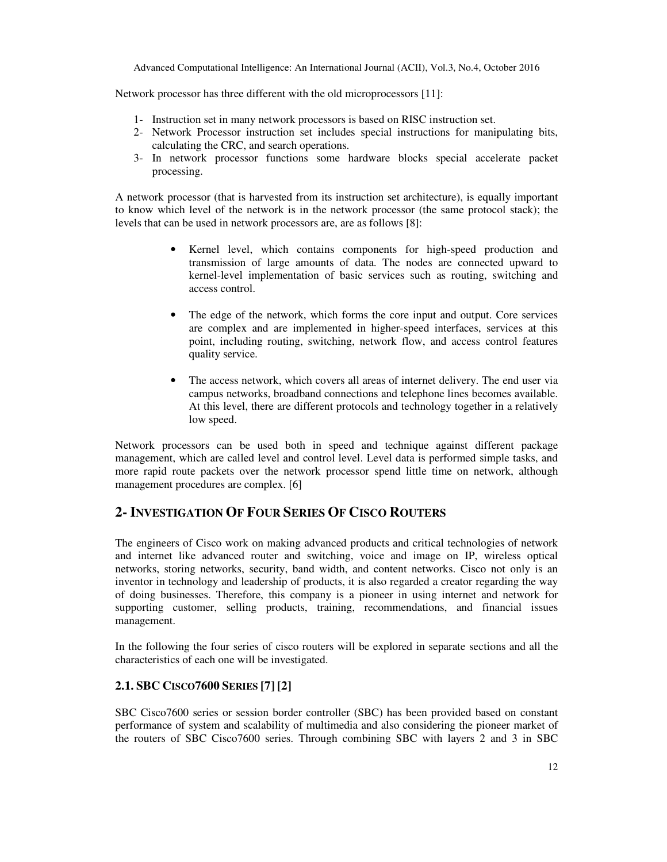Network processor has three different with the old microprocessors [11]:

- 1- Instruction set in many network processors is based on RISC instruction set.
- 2- Network Processor instruction set includes special instructions for manipulating bits, calculating the CRC, and search operations.
- 3- In network processor functions some hardware blocks special accelerate packet processing.

A network processor (that is harvested from its instruction set architecture), is equally important to know which level of the network is in the network processor (the same protocol stack); the levels that can be used in network processors are, are as follows [8]:

- Kernel level, which contains components for high-speed production and transmission of large amounts of data. The nodes are connected upward to kernel-level implementation of basic services such as routing, switching and access control.
- The edge of the network, which forms the core input and output. Core services are complex and are implemented in higher-speed interfaces, services at this point, including routing, switching, network flow, and access control features quality service.
- The access network, which covers all areas of internet delivery. The end user via campus networks, broadband connections and telephone lines becomes available. At this level, there are different protocols and technology together in a relatively low speed.

Network processors can be used both in speed and technique against different package management, which are called level and control level. Level data is performed simple tasks, and more rapid route packets over the network processor spend little time on network, although management procedures are complex. [6]

# **2- INVESTIGATION OF FOUR SERIES OF CISCO ROUTERS**

The engineers of Cisco work on making advanced products and critical technologies of network and internet like advanced router and switching, voice and image on IP, wireless optical networks, storing networks, security, band width, and content networks. Cisco not only is an inventor in technology and leadership of products, it is also regarded a creator regarding the way of doing businesses. Therefore, this company is a pioneer in using internet and network for supporting customer, selling products, training, recommendations, and financial issues management.

In the following the four series of cisco routers will be explored in separate sections and all the characteristics of each one will be investigated.

## **2.1. SBC CISCO7600 SERIES [7] [2]**

SBC Cisco7600 series or session border controller (SBC) has been provided based on constant performance of system and scalability of multimedia and also considering the pioneer market of the routers of SBC Cisco7600 series. Through combining SBC with layers 2 and 3 in SBC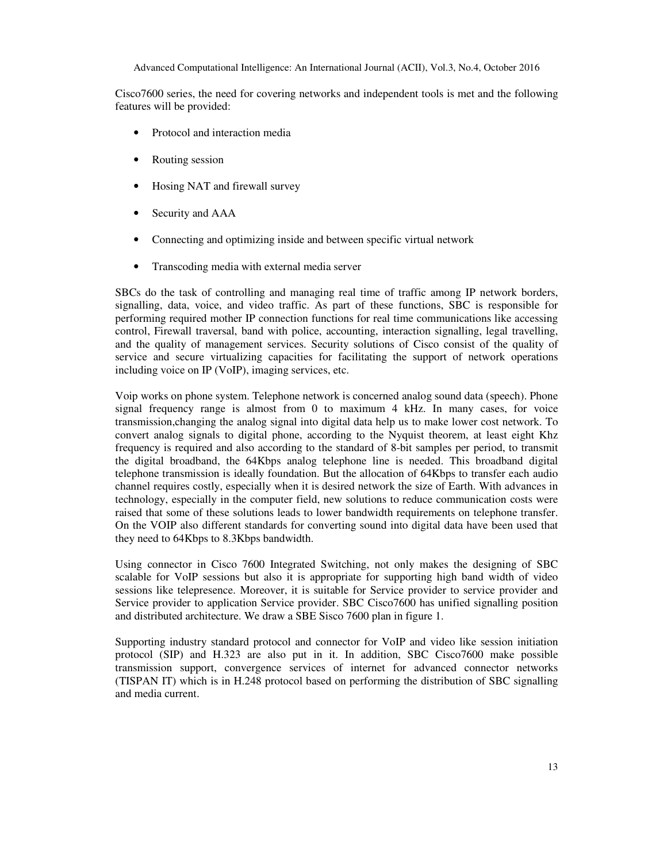Cisco7600 series, the need for covering networks and independent tools is met and the following features will be provided:

- Protocol and interaction media
- Routing session
- Hosing NAT and firewall survey
- Security and AAA
- Connecting and optimizing inside and between specific virtual network
- Transcoding media with external media server

SBCs do the task of controlling and managing real time of traffic among IP network borders, signalling, data, voice, and video traffic. As part of these functions, SBC is responsible for performing required mother IP connection functions for real time communications like accessing control, Firewall traversal, band with police, accounting, interaction signalling, legal travelling, and the quality of management services. Security solutions of Cisco consist of the quality of service and secure virtualizing capacities for facilitating the support of network operations including voice on IP (VoIP), imaging services, etc.

Voip works on phone system. Telephone network is concerned analog sound data (speech). Phone signal frequency range is almost from 0 to maximum 4 kHz. In many cases, for voice transmission,changing the analog signal into digital data help us to make lower cost network. To convert analog signals to digital phone, according to the Nyquist theorem, at least eight Khz frequency is required and also according to the standard of 8-bit samples per period, to transmit the digital broadband, the 64Kbps analog telephone line is needed. This broadband digital telephone transmission is ideally foundation. But the allocation of 64Kbps to transfer each audio channel requires costly, especially when it is desired network the size of Earth. With advances in technology, especially in the computer field, new solutions to reduce communication costs were raised that some of these solutions leads to lower bandwidth requirements on telephone transfer. On the VOIP also different standards for converting sound into digital data have been used that they need to 64Kbps to 8.3Kbps bandwidth.

Using connector in Cisco 7600 Integrated Switching, not only makes the designing of SBC scalable for VoIP sessions but also it is appropriate for supporting high band width of video sessions like telepresence. Moreover, it is suitable for Service provider to service provider and Service provider to application Service provider. SBC Cisco7600 has unified signalling position and distributed architecture. We draw a SBE Sisco 7600 plan in figure 1.

Supporting industry standard protocol and connector for VoIP and video like session initiation protocol (SIP) and H.323 are also put in it. In addition, SBC Cisco7600 make possible transmission support, convergence services of internet for advanced connector networks (TISPAN IT) which is in H.248 protocol based on performing the distribution of SBC signalling and media current.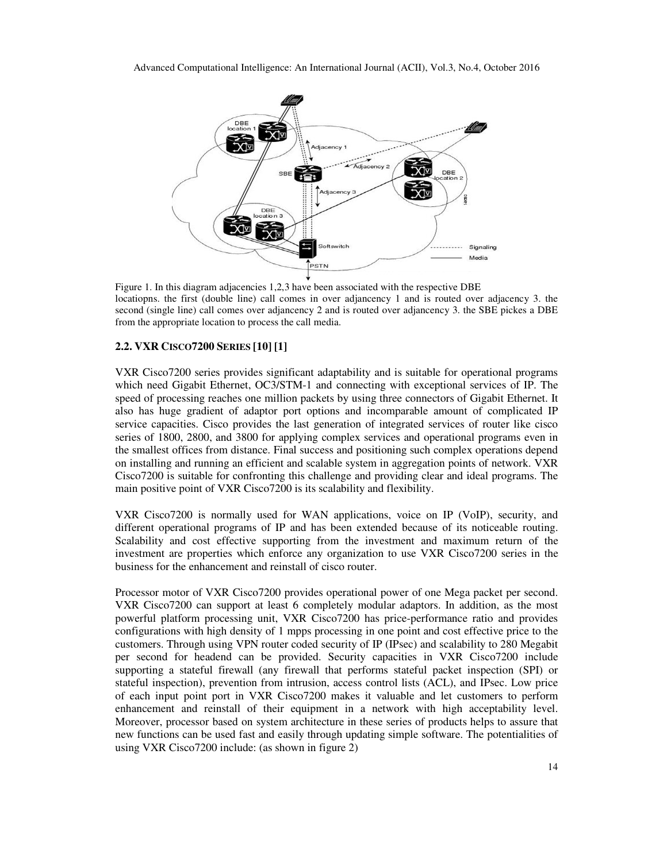

Figure 1. In this diagram adjacencies 1,2,3 have been associated with the respective DBE locatiopns. the first (double line) call comes in over adjancency 1 and is routed over adjacency 3. the second (single line) call comes over adjancency 2 and is routed over adjancency 3. the SBE pickes a DBE from the appropriate location to process the call media.

#### **2.2. VXR CISCO7200 SERIES [10] [1]**

VXR Cisco7200 series provides significant adaptability and is suitable for operational programs which need Gigabit Ethernet, OC3/STM-1 and connecting with exceptional services of IP. The speed of processing reaches one million packets by using three connectors of Gigabit Ethernet. It also has huge gradient of adaptor port options and incomparable amount of complicated IP service capacities. Cisco provides the last generation of integrated services of router like cisco series of 1800, 2800, and 3800 for applying complex services and operational programs even in the smallest offices from distance. Final success and positioning such complex operations depend on installing and running an efficient and scalable system in aggregation points of network. VXR Cisco7200 is suitable for confronting this challenge and providing clear and ideal programs. The main positive point of VXR Cisco7200 is its scalability and flexibility.

VXR Cisco7200 is normally used for WAN applications, voice on IP (VoIP), security, and different operational programs of IP and has been extended because of its noticeable routing. Scalability and cost effective supporting from the investment and maximum return of the investment are properties which enforce any organization to use VXR Cisco7200 series in the business for the enhancement and reinstall of cisco router.

Processor motor of VXR Cisco7200 provides operational power of one Mega packet per second. VXR Cisco7200 can support at least 6 completely modular adaptors. In addition, as the most powerful platform processing unit, VXR Cisco7200 has price-performance ratio and provides configurations with high density of 1 mpps processing in one point and cost effective price to the customers. Through using VPN router coded security of IP (IPsec) and scalability to 280 Megabit per second for headend can be provided. Security capacities in VXR Cisco7200 include supporting a stateful firewall (any firewall that performs stateful packet inspection (SPI) or stateful inspection), prevention from intrusion, access control lists (ACL), and IPsec. Low price of each input point port in VXR Cisco7200 makes it valuable and let customers to perform enhancement and reinstall of their equipment in a network with high acceptability level. Moreover, processor based on system architecture in these series of products helps to assure that new functions can be used fast and easily through updating simple software. The potentialities of using VXR Cisco7200 include: (as shown in figure 2)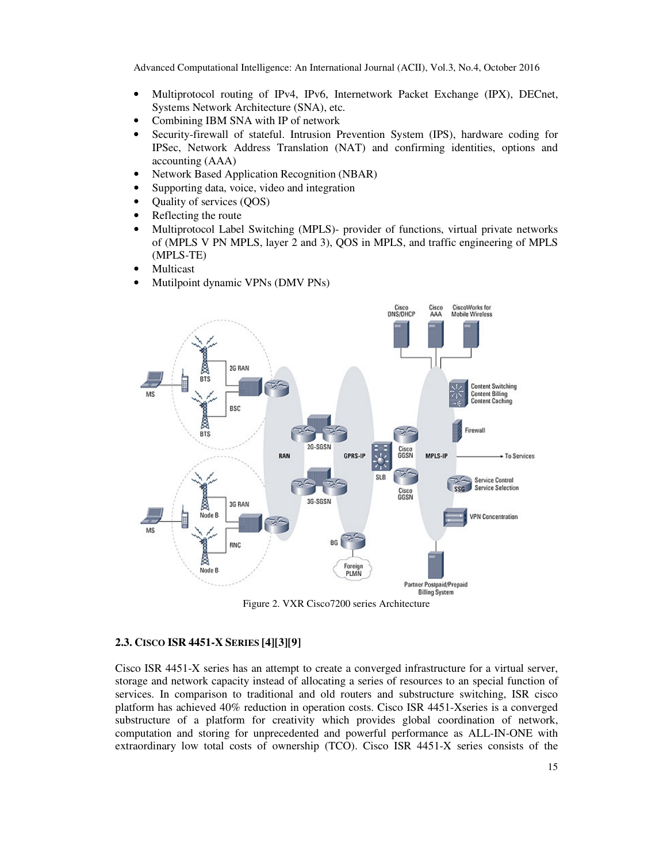- Multiprotocol routing of IPv4, IPv6, Internetwork Packet Exchange (IPX), DECnet, Systems Network Architecture (SNA), etc.
- Combining IBM SNA with IP of network
- Security-firewall of stateful. Intrusion Prevention System (IPS), hardware coding for IPSec, Network Address Translation (NAT) and confirming identities, options and accounting (AAA)
- Network Based Application Recognition (NBAR)
- Supporting data, voice, video and integration
- Quality of services (QOS)
- Reflecting the route
- Multiprotocol Label Switching (MPLS)- provider of functions, virtual private networks of (MPLS V PN MPLS, layer 2 and 3), QOS in MPLS, and traffic engineering of MPLS (MPLS-TE)
- **Multicast**
- Mutilpoint dynamic VPNs (DMV PNs)



Figure 2. VXR Cisco7200 series Architecture

#### **2.3. CISCO ISR 4451-X SERIES [4][3][9]**

Cisco ISR 4451-X series has an attempt to create a converged infrastructure for a virtual server, storage and network capacity instead of allocating a series of resources to an special function of services. In comparison to traditional and old routers and substructure switching, ISR cisco platform has achieved 40% reduction in operation costs. Cisco ISR 4451-Xseries is a converged substructure of a platform for creativity which provides global coordination of network, computation and storing for unprecedented and powerful performance as ALL-IN-ONE with extraordinary low total costs of ownership (TCO). Cisco ISR 4451-X series consists of the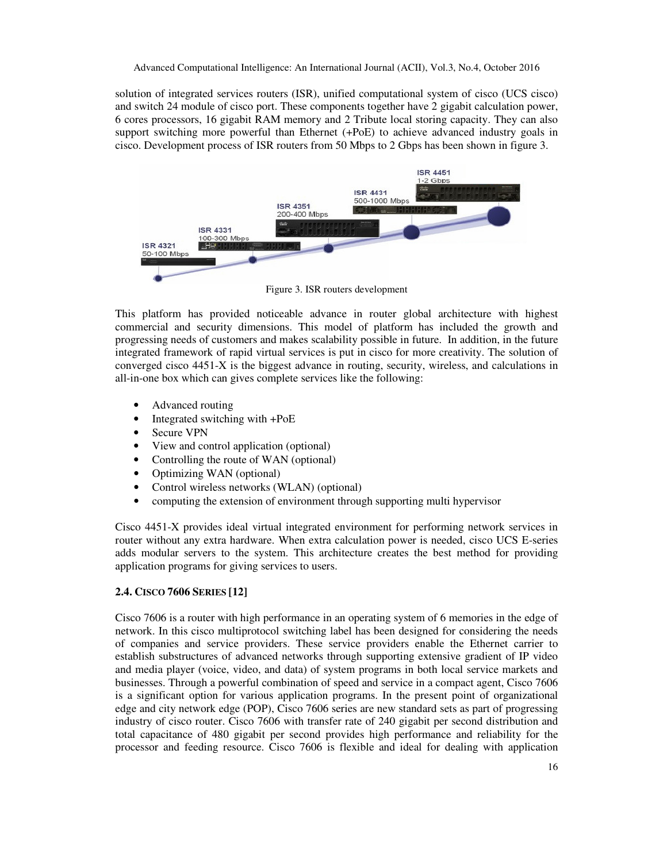solution of integrated services routers (ISR), unified computational system of cisco (UCS cisco) and switch 24 module of cisco port. These components together have 2 gigabit calculation power, 6 cores processors, 16 gigabit RAM memory and 2 Tribute local storing capacity. They can also support switching more powerful than Ethernet (+PoE) to achieve advanced industry goals in cisco. Development process of ISR routers from 50 Mbps to 2 Gbps has been shown in figure 3.



Figure 3. ISR routers development

This platform has provided noticeable advance in router global architecture with highest commercial and security dimensions. This model of platform has included the growth and progressing needs of customers and makes scalability possible in future. In addition, in the future integrated framework of rapid virtual services is put in cisco for more creativity. The solution of converged cisco 4451-X is the biggest advance in routing, security, wireless, and calculations in all-in-one box which can gives complete services like the following:

- Advanced routing
- Integrated switching with +PoE
- Secure VPN
- View and control application (optional)
- Controlling the route of WAN (optional)
- Optimizing WAN (optional)
- Control wireless networks (WLAN) (optional)
- computing the extension of environment through supporting multi hypervisor

Cisco 4451-X provides ideal virtual integrated environment for performing network services in router without any extra hardware. When extra calculation power is needed, cisco UCS E-series adds modular servers to the system. This architecture creates the best method for providing application programs for giving services to users.

## **2.4. CISCO 7606 SERIES [12]**

Cisco 7606 is a router with high performance in an operating system of 6 memories in the edge of network. In this cisco multiprotocol switching label has been designed for considering the needs of companies and service providers. These service providers enable the Ethernet carrier to establish substructures of advanced networks through supporting extensive gradient of IP video and media player (voice, video, and data) of system programs in both local service markets and businesses. Through a powerful combination of speed and service in a compact agent, Cisco 7606 is a significant option for various application programs. In the present point of organizational edge and city network edge (POP), Cisco 7606 series are new standard sets as part of progressing industry of cisco router. Cisco 7606 with transfer rate of 240 gigabit per second distribution and total capacitance of 480 gigabit per second provides high performance and reliability for the processor and feeding resource. Cisco 7606 is flexible and ideal for dealing with application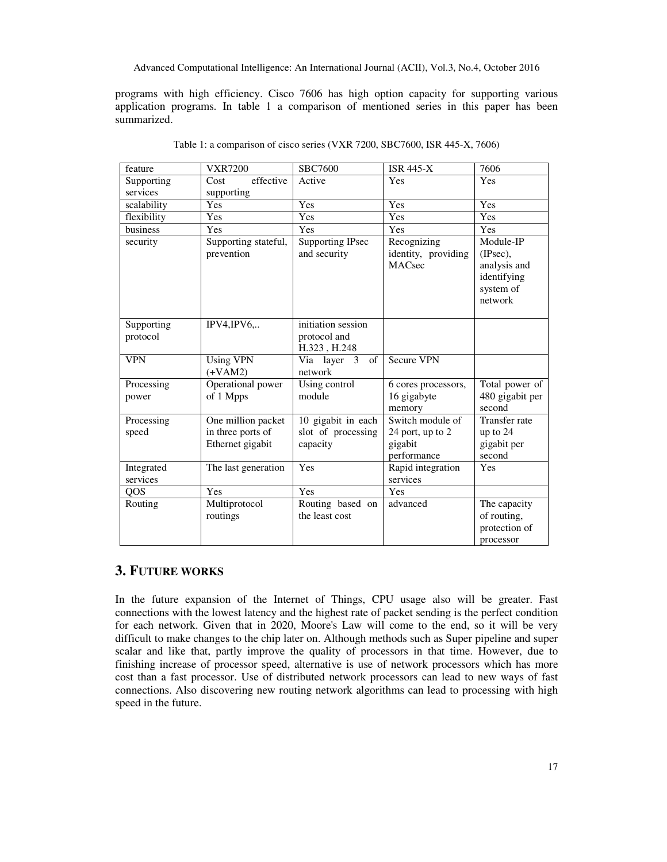programs with high efficiency. Cisco 7606 has high option capacity for supporting various application programs. In table 1 a comparison of mentioned series in this paper has been summarized.

| feature                | <b>VXR7200</b>                                              | <b>SBC7600</b>                                       | <b>ISR 445-X</b>                                               | 7606                                                                         |
|------------------------|-------------------------------------------------------------|------------------------------------------------------|----------------------------------------------------------------|------------------------------------------------------------------------------|
| Supporting             | effective<br>Cost                                           | Active                                               | Yes                                                            | Yes                                                                          |
| services               | supporting                                                  |                                                      |                                                                |                                                                              |
| scalability            | Yes                                                         | Yes                                                  | Yes                                                            | Yes                                                                          |
| flexibility            | Yes                                                         | Yes                                                  | Yes                                                            | Yes                                                                          |
| business               | <b>Yes</b>                                                  | <b>Yes</b>                                           | Yes                                                            | Yes                                                                          |
| security               | Supporting stateful,<br>prevention                          | <b>Supporting IPsec</b><br>and security              | Recognizing<br>identity, providing<br><b>MACsec</b>            | Module-IP<br>(IPsec),<br>analysis and<br>identifying<br>system of<br>network |
| Supporting<br>protocol | IPV4,IPV6                                                   | initiation session<br>protocol and<br>H.323, H.248   |                                                                |                                                                              |
| <b>VPN</b>             | <b>Using VPN</b><br>$(+VAM2)$                               | Via layer 3 of<br>network                            | Secure VPN                                                     |                                                                              |
| Processing<br>power    | Operational power<br>of 1 Mpps                              | Using control<br>module                              | 6 cores processors,<br>16 gigabyte<br>memory                   | Total power of<br>480 gigabit per<br>second                                  |
| Processing<br>speed    | One million packet<br>in three ports of<br>Ethernet gigabit | 10 gigabit in each<br>slot of processing<br>capacity | Switch module of<br>24 port, up to 2<br>gigabit<br>performance | Transfer rate<br>up to 24<br>gigabit per<br>second                           |
| Integrated<br>services | The last generation                                         | Yes                                                  | Rapid integration<br>services                                  | Yes                                                                          |
| QOS                    | Yes                                                         | Yes                                                  | Yes                                                            |                                                                              |
| Routing                | Multiprotocol<br>routings                                   | Routing based on<br>the least cost                   | advanced                                                       | The capacity<br>of routing,<br>protection of<br>processor                    |

Table 1: a comparison of cisco series (VXR 7200, SBC7600, ISR 445-X, 7606)

## **3. FUTURE WORKS**

In the future expansion of the Internet of Things, CPU usage also will be greater. Fast connections with the lowest latency and the highest rate of packet sending is the perfect condition for each network. Given that in 2020, Moore's Law will come to the end, so it will be very difficult to make changes to the chip later on. Although methods such as Super pipeline and super scalar and like that, partly improve the quality of processors in that time. However, due to finishing increase of processor speed, alternative is use of network processors which has more cost than a fast processor. Use of distributed network processors can lead to new ways of fast connections. Also discovering new routing network algorithms can lead to processing with high speed in the future.